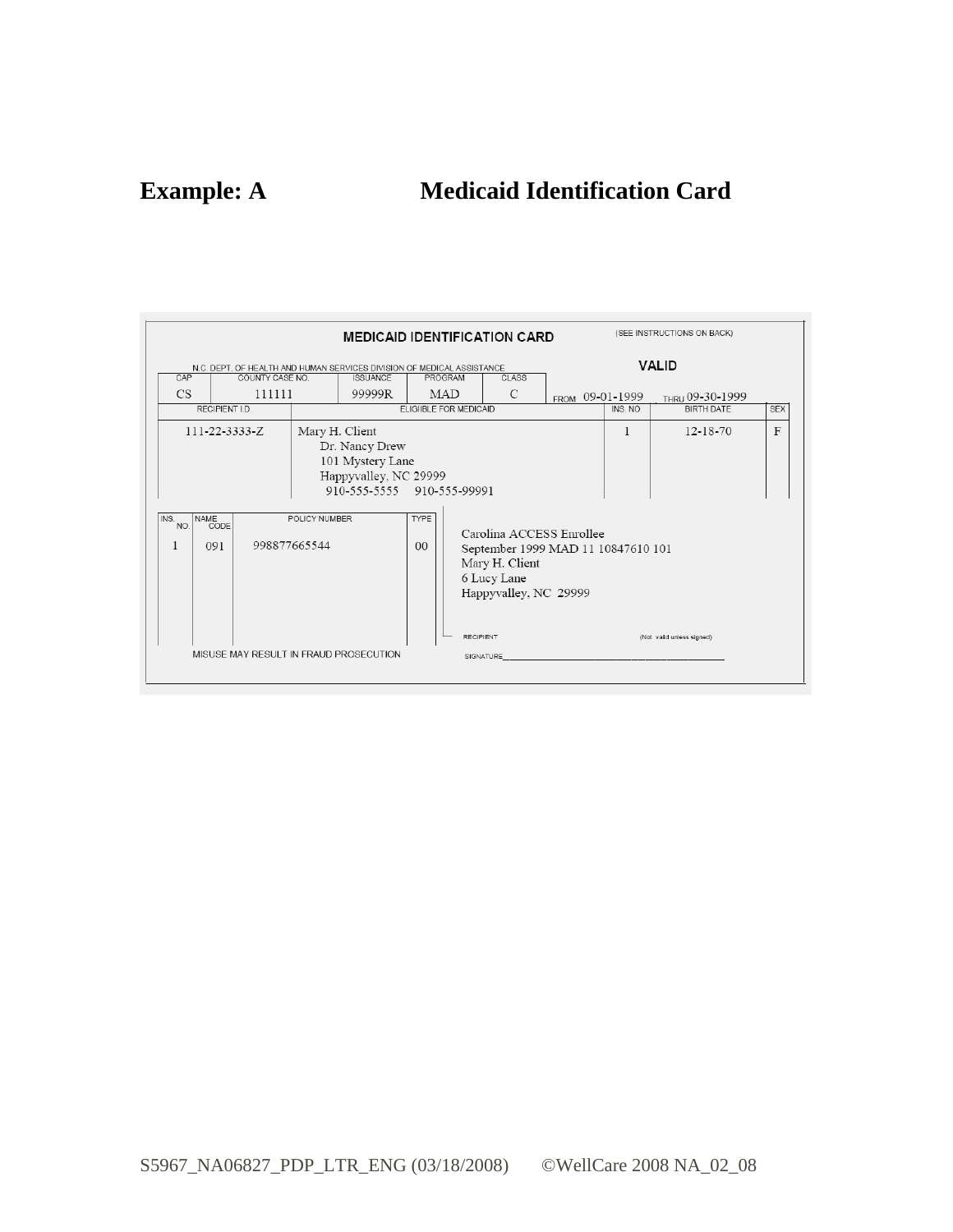# **Example: A Medicaid Identification Card**

| (SEE INSTRUCTIONS ON BACK)<br><b>MEDICAID IDENTIFICATION CARD</b>                                                                                                                                                                                                                                              |                                                                                                |  |                                                 |                               |                                                                                                                                                           |               |                                                                        |                           |  |
|----------------------------------------------------------------------------------------------------------------------------------------------------------------------------------------------------------------------------------------------------------------------------------------------------------------|------------------------------------------------------------------------------------------------|--|-------------------------------------------------|-------------------------------|-----------------------------------------------------------------------------------------------------------------------------------------------------------|---------------|------------------------------------------------------------------------|---------------------------|--|
| N.C. DEPT. OF HEALTH AND HUMAN SERVICES DIVISION OF MEDICAL ASSISTANCE<br>CAP<br>COUNTY CASE NO.<br><b>ISSUANCE</b><br>111111<br><b>CS</b><br>99999R<br>RECIPIENT I.D.<br>Mary H. Client<br>$111 - 22 - 3333 - Z$<br>Dr. Nancy Drew<br>101 Mystery Lane<br>Happyvalley, NC 29999<br>910-555-5555 910-555-99991 |                                                                                                |  | PROGRAM<br><b>MAD</b><br>ELIGIIBLE FOR MEDICAID | <b>CLASS</b><br>$\mathcal{C}$ | FROM 09-01-1999                                                                                                                                           | INS, NO.<br>1 | <b>VALID</b><br>THRU 09-30-1999<br><b>BIRTH DATE</b><br>$12 - 18 - 70$ | <b>SEX</b><br>F           |  |
| INS.<br>NO.                                                                                                                                                                                                                                                                                                    | NAME<br>CODE<br>POLICY NUMBER<br>998877665544<br>091<br>MISUSE MAY RESULT IN FRAUD PROSECUTION |  |                                                 | <b>TYPE</b><br>0 <sup>0</sup> | Carolina ACCESS Enrollee<br>September 1999 MAD 11 10847610 101<br>Mary H. Client<br>6 Lucy Lane<br>Happyvalley, NC 29999<br><b>RECIPIENT</b><br>SIGNATURE |               |                                                                        | (Not valid unless signed) |  |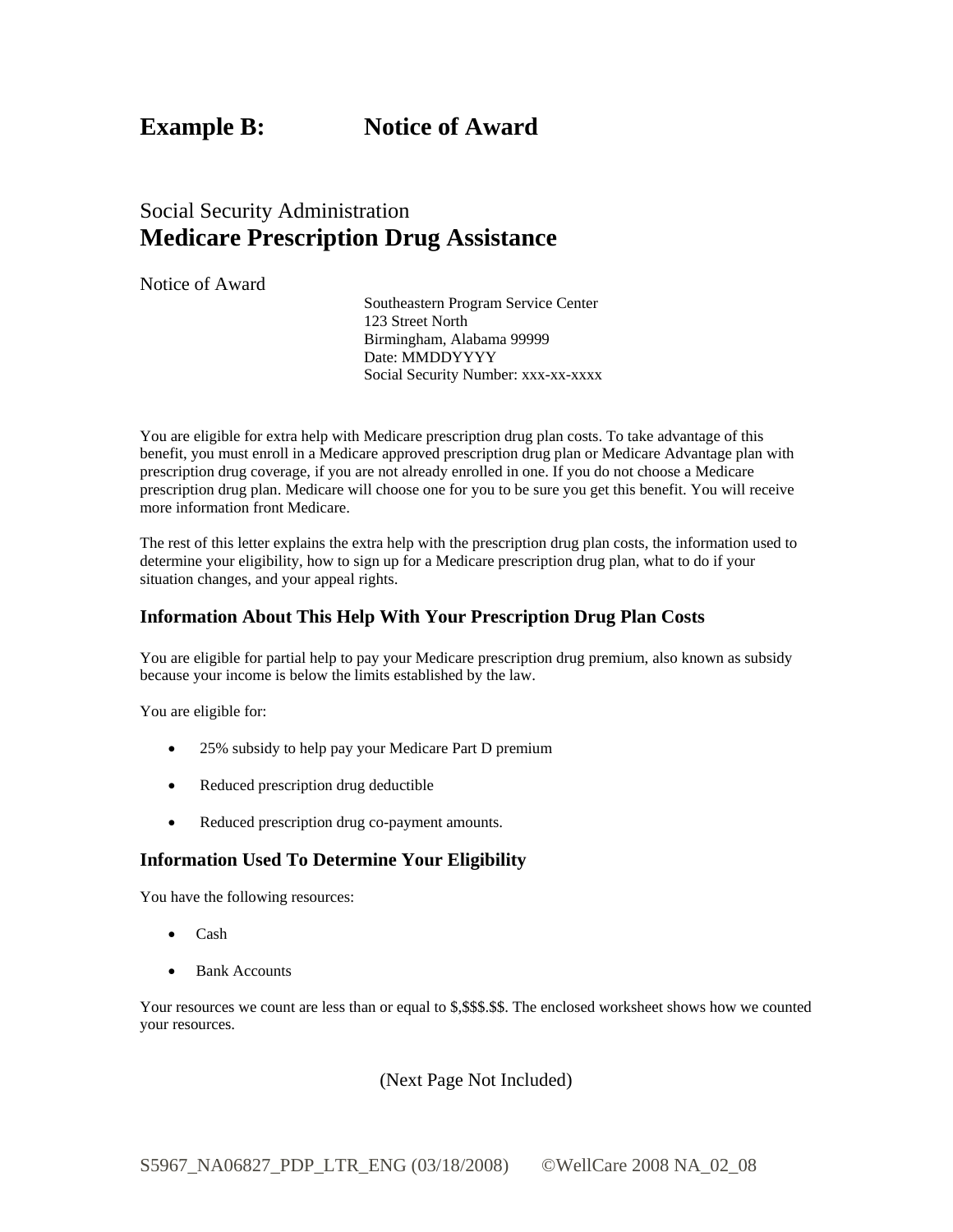**Example B:** Notice of Award

## Social Security Administration **Medicare Prescription Drug Assistance**

Notice of Award

Southeastern Program Service Center 123 Street North Birmingham, Alabama 99999 Date: MMDDYYYY Social Security Number: xxx-xx-xxxx

You are eligible for extra help with Medicare prescription drug plan costs. To take advantage of this benefit, you must enroll in a Medicare approved prescription drug plan or Medicare Advantage plan with prescription drug coverage, if you are not already enrolled in one. If you do not choose a Medicare prescription drug plan. Medicare will choose one for you to be sure you get this benefit. You will receive more information front Medicare.

 The rest of this letter explains the extra help with the prescription drug plan costs, the information used to determine your eligibility, how to sign up for a Medicare prescription drug plan, what to do if your situation changes, and your appeal rights.

#### **Information About This Help With Your Prescription Drug Plan Costs**

You are eligible for partial help to pay your Medicare prescription drug premium, also known as subsidy because your income is below the limits established by the law.

You are eligible for:

- 25% subsidy to help pay your Medicare Part D premium
- Reduced prescription drug deductible
- Reduced prescription drug co-payment amounts.

#### **Information Used To Determine Your Eligibility**

You have the following resources:

- Cash
- Bank Accounts

 Your resources we count are less than or equal to \$,\$\$\$.\$\$. The enclosed worksheet shows how we counted your resources.

(Next Page Not Included)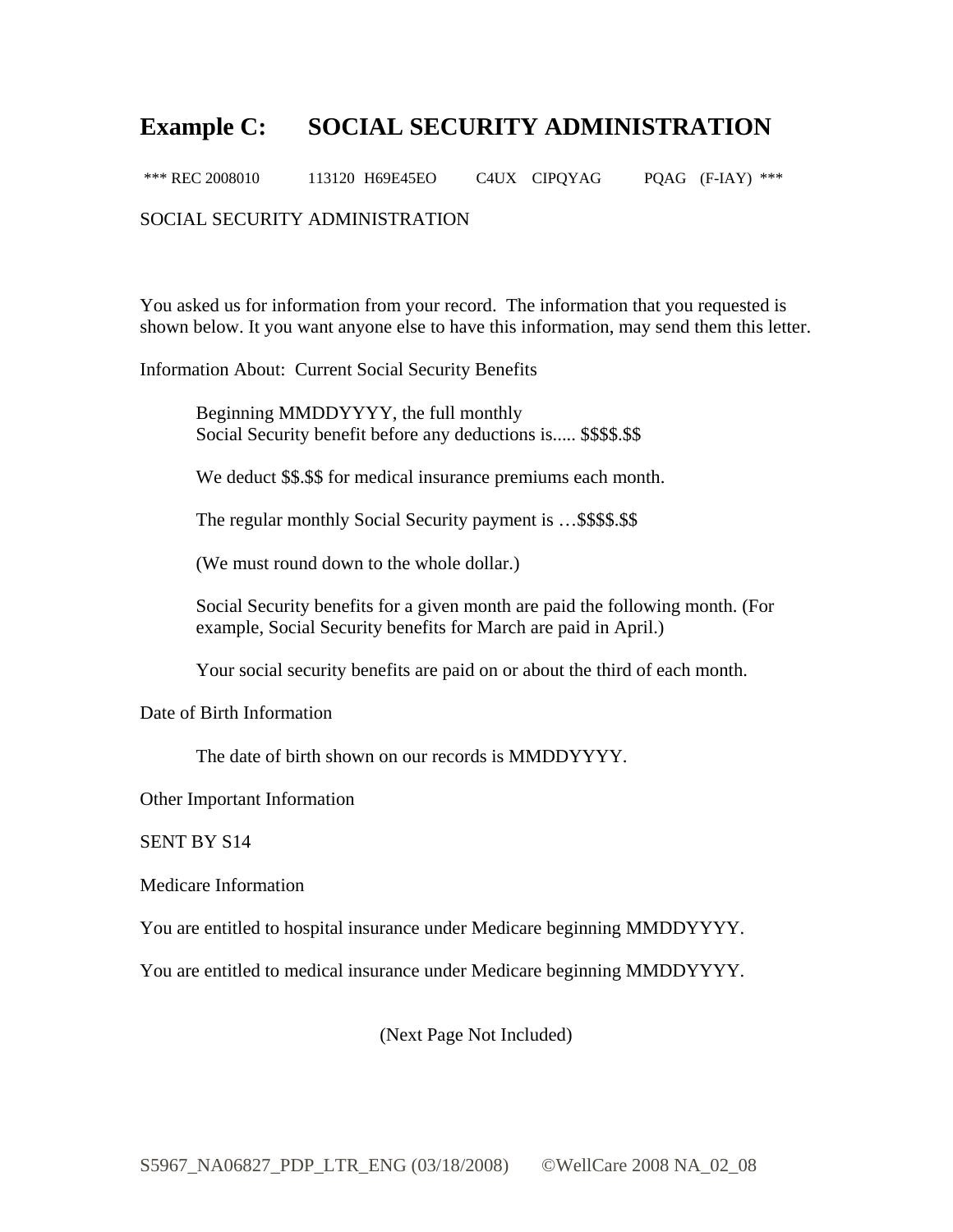## **Example C: SOCIAL SECURITY ADMINISTRATION**

POAG  $(F-IAY)$  \*\*\* \*\*\* REC 2008010 113120 H69E45EO C4UX CIPQYAG

#### SOCIAL SECURITY ADMINISTRATION

You asked us for information from your record. The information that you requested is shown below. It you want anyone else to have this information, may send them this letter.

Information About: Current Social Security Benefits

Beginning MMDDYYYY, the full monthly Social Security benefit before any deductions is..... \$\$\$\$.\$\$

We deduct \$\$.\$\$ for medical insurance premiums each month.

The regular monthly Social Security payment is ... \$\$\$\$.\$\$

(We must round down to the whole dollar.)

Social Security benefits for a given month are paid the following month. (For example, Social Security benefits for March are paid in April.)

Your social security benefits are paid on or about the third of each month.

Date of Birth Information

The date of birth shown on our records is MMDDYYYY.

Other Important Information

SENT BY S14

Medicare Information

You are entitled to hospital insurance under Medicare beginning MMDDYYYY.

You are entitled to medical insurance under Medicare beginning MMDDYYYY.

(Next Page Not Included)